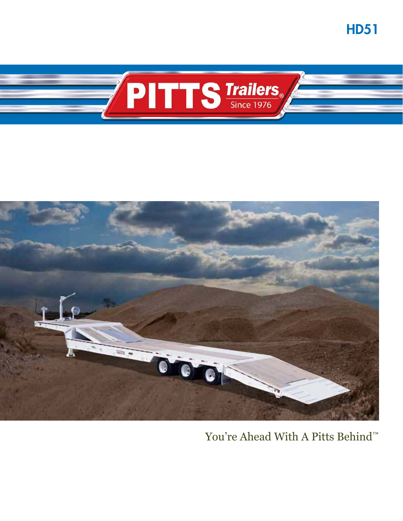**HD51** 





# You're Ahead With A Pitts Behind™